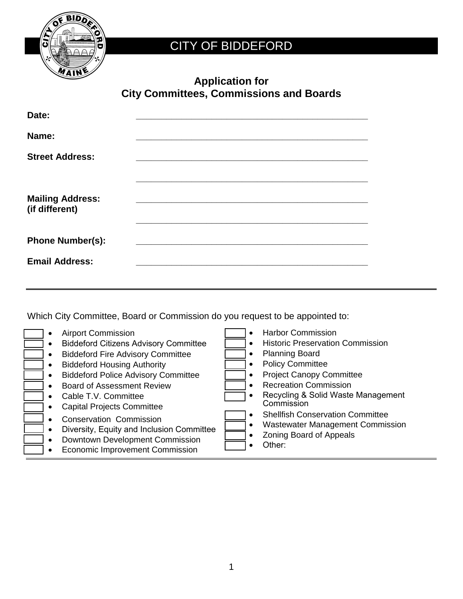

## CITY OF BIDDEFORD

| <b>Application for</b>                         |
|------------------------------------------------|
| <b>City Committees, Commissions and Boards</b> |

| Date:                                     |  |
|-------------------------------------------|--|
| Name:                                     |  |
| <b>Street Address:</b>                    |  |
| <b>Mailing Address:</b><br>(if different) |  |
| <b>Phone Number(s):</b>                   |  |
| <b>Email Address:</b>                     |  |

Which City Committee, Board or Commission do you request to be appointed to:

- Airport Commission
- Biddeford Citizens Advisory Committee
- Biddeford Fire Advisory Committee
- Biddeford Housing Authority
- Biddeford Police Advisory Committee
- Board of Assessment Review
- Cable T.V. Committee
- Capital Projects Committee
- Conservation Commission
- Diversity, Equity and Inclusion Committee
- Downtown Development Commission
- Economic Improvement Commission
- Harbor Commission
- Historic Preservation Commission
- Planning Board
- Policy Committee
- Project Canopy Committee
- Recreation Commission
- Recycling & Solid Waste Management **Commission**
- Shellfish Conservation Committee
- Wastewater Management Commission
- Zoning Board of Appeals
- Other: